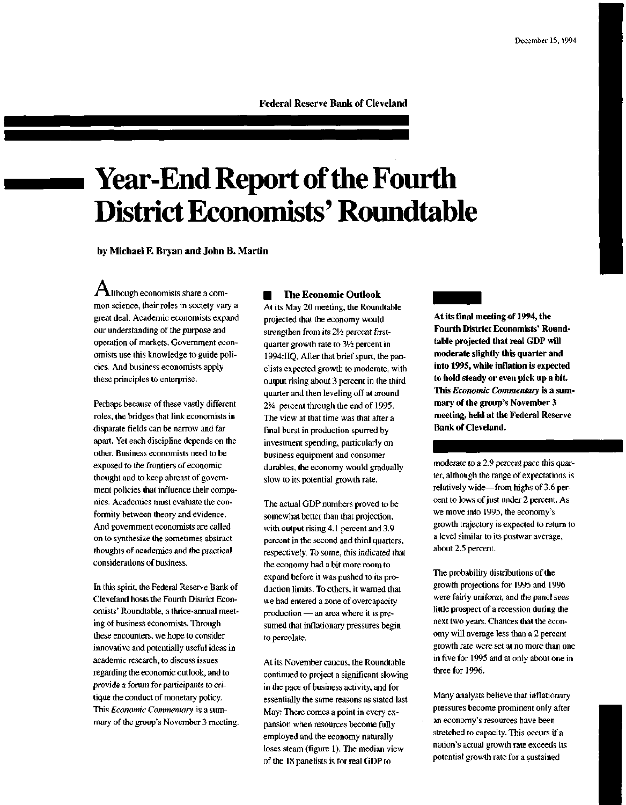Federal Reserve Bank of Cleveland

# **Year-End Report of the Fourth District Economists' Roundtable**

by Michael F. Bryan and John B. Martin

 ${\mathbf A}$ lthough economists share a common science, their roles in society vary a great deal. Academic economists expand our understanding of the purpose and operation of markets. Government economists use this knowledge to guide policies. And business economists apply these principles to enterprise.

Perhaps because of these vastly different roles, the bridges that link economists in disparate fields can be narrow and far apart. Yet each discipline depends on the other. Business economists need to be exposed to the frontiers of economic thought and to keep abreast of government policies that influence their companies. Academics must evaluate the conformity between theory and evidence. And government economists are called on to synthesize the sometimes abstract thoughts of academics and the practical considerations of business.

In this spirit, the Federal Reserve Bank of Cleveland hosts the Fourth District Economists' Roundtable, a thrice-annual meeting of business economists. Through these encounters, we hope to consider innovative and potentially useful ideas in academic research, to discuss issues regarding the economic outlook, and to provide a forum for participants to critique the conduct of monetary policy. This *Economic Commentary* is a summary of the group's November 3 meeting.

• The Economic Outlook At its May 20 meeting, the Roundtable projected that the economy would strengthen from its 21/<sub>2</sub> percent firstquarter growth rate to  $3\frac{1}{2}$  percent in 1994:IIQ. After that brief spurt, the panelists expected growth to moderate, with output rising about 3 percent in the third quarter and then leveling off at around 2% percent through the end of 1995. The view at that time was that after a final burst in production spurred by investment spending, particularly on business equipment and consumer durables, the economy would gradually slow to its potential growth rate.

The actual GDP numbers proved to be somewhat better than that projection, with output rising 4.1 percent and 3.9 percent in the second and third quarters, respectively. To some, this indicated that the economy had a bit more room to expand before it was pushed to its production limits. To others, it warned that we had entered a zone of overcapacity production — an area where it is presumed that inflationary pressures begin to percolate.

At its November caucus, the Roundtable continued to project a significant slowing in the pace of business activity, and for essentially the same reasons as stated last May: There comes a point in every expansion when resources become fully employed and the economy naturally loses steam (figure 1). The median view of the 18 panelists is for real GDP to

**At its final meeting of 1994, the Fourth District Economists' Roundtable projected that real GDP will moderate slightly this quarter and into 1995, while inflation is expected to hold steady or even pick up a bit. This** *Economic Commentary* **is a summary of the group's November 3 meeting, held at the Federal Reserve Bank of Cleveland.**

moderate to a 2.9 percent pace this quarter, although the range of expectations is relatively wide—from highs of 3.6 percent to lows of just under 2 percent. As we move into 1995, the economy's growth trajectory is expected to return to a level similar to its postwar average, about 2.5 percent.

The probability distributions of the growth projections for 1995 and 1996 were fairly uniform, and the panel sees little prospect of a recession during the next two years. Chances that the economy will average less than a 2 percent growth rate were set at no more than one in five for 1995 and at only about one in three for 1996.

Many analysts believe that inflationary pressures become prominent only after an economy's resources have been stretched to capacity. This occurs if a nation's actual growth rate exceeds its potential growth rate for a sustained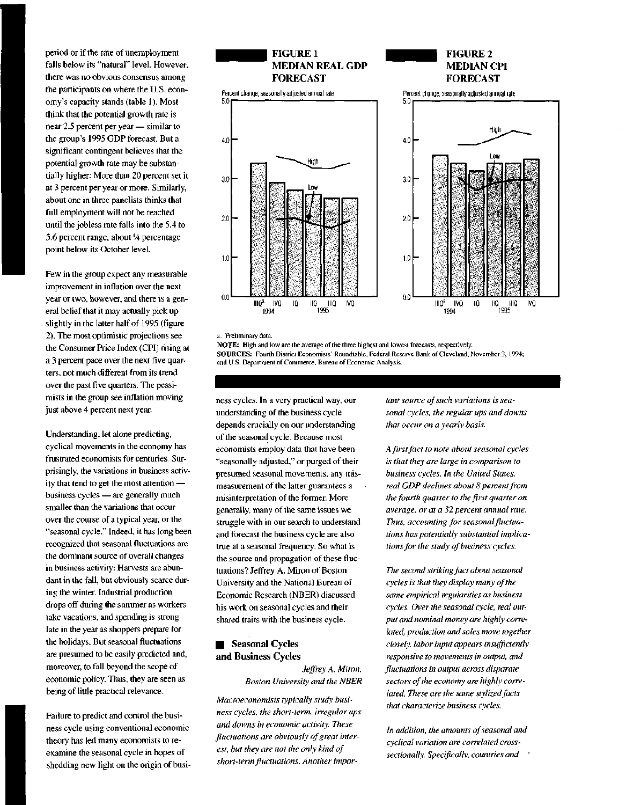period or if the rate of unemployment falls below its "natural" level. However, there was no obvious consensus among the participants on where the U.S. economy's capacity stands (table 1). Most think that the potential growth rate is near 2.5 percent per year — similar to the group's 1995 GDP forecast. But a significant contingent believes that the potential growth rate may be substantially higher: More than 20 percent set it at 3 percent per year or more. Similarly, about one in three panelists thinks that full employment will not be reached until the jobless rate falls into the 5.4 to 5.6 percent range, about *<sup>l</sup>A* percentage point below its October level.

Few in the group expect any measurable improvement in inflation over the next year or two, however, and there is a general belief that it may actually pick up slightly in the latter half of 1995 (figure 2). The most optimistic projections see the Consumer Price Index (CPI) rising at a 3 percent pace over the next five quarters, not much different from its trend over the past five quarters. The pessimists in the group see inflation moving just above 4 percent next year.

Understanding, let alone predicting, cyclical movements in the economy has frustrated economists for centuries. Surprisingly, the variations in business activity that tend to get the most attention business cycles — are generally much smaller than the variations that occur over the course of a typical year, or the "seasonal cycle." Indeed, it has long been recognized that seasonal fluctuations are the dominant source of overall changes in business activity: Harvests are abundant in the fall, but obviously scarce during the winter. Industrial production drops off during the summer as workers take vacations, and spending is strong late in the year as shoppers prepare for the holidays. But seasonal fluctuations are presumed to be easily predicted and, moreover, to fall beyond the scope of economic policy. Thus, they are seen as being of little practical relevance.

Failure to predict and control the business cycle using conventional economic theory has led many economists to reexamine the seasonal cycle in hopes of shedding new light on the origin of busi-



#### a. Preliminary data.

**NOTE:** High and low are the average of the three highest and lowest forecasts, respectively. **SOURCES:** Fourth District Economists' Roundtable, Federal Reserve Bank of Cleveland, November 3, 1994; and U.S. Department of Commerce, Bureau of Economic Analysis.

ness cycles. In a very practical way, our understanding of the business cycle depends crucially on our understanding of the seasonal cycle. Because most economists employ data that have been "seasonally adjusted," or purged of their presumed seasonal movements, any mismeasurement of the latter guarantees a misinterpretation of the former. More generally, many of the same issues we struggle with in our search to understand and forecast the business cycle are also true at a seasonal frequency. So what is the source and propagation of these fluctuations? Jeffrey A. Miron of Boston University and the National Bureau of Economic Research (NBER) discussed his work on seasonal cycles and their shared traits with the business cycle.

## **• Seasonal Cycles** and Business Cycles

*Jeffrey A. Miron, Boston University and the NBER*

*Macroeconomists typically study business cycles, the short-term, irregular ups and downs in economic activity. These fluctuations are obviously of great interest, but they are not the only kind of short-term fluctuations. Another impor-* *tant source of such variations is seasonal cycles, the regular ups and downs that occur on a yearly basis.*

*A first fact to note about seasonal cycles is that they are large in comparison to business cycles. In the United States, real GDP declines about 8 percent from the fourth quarter to the first quarter on average, or at a 32 percent annual rate. Thus, accounting for seasonal fluctuations has potentially substantial implications for the study of business cycles.*

*The second striking fact about seasonal cycles is that they display many of the same empirical regularities as business cycles. Over the seasonal cycle, real output and nominal money are highly correlated, production and sales move together closely, labor input appears insufficiently responsive to movements in output, and fluctuations in output across disparate sectors of the economy are highly correlated. These are the same stylized facts that characterize business cycles.*

*In addition, the amounts of seasonal and cyclical variation are correlated crosssectionally. Specifically, countries and '*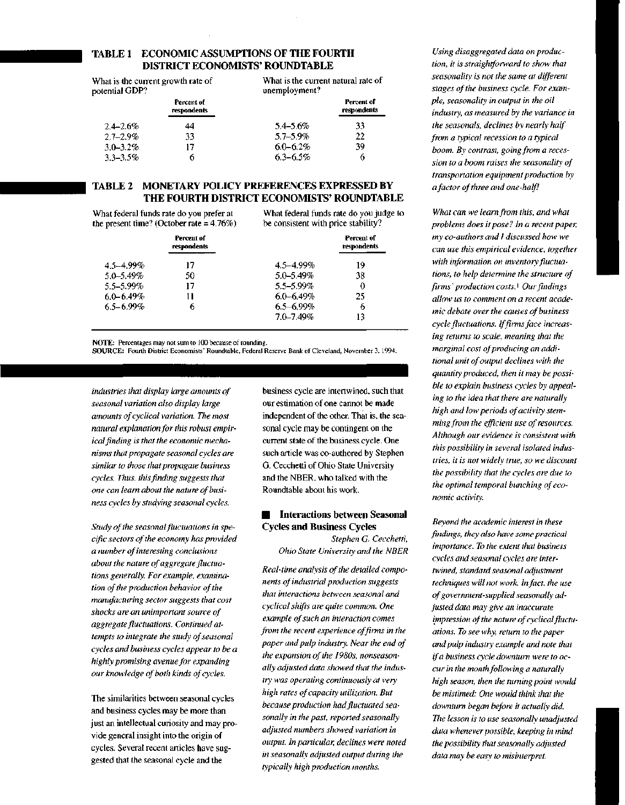## **TABLE 1 ECONOMIC ASSUMPTIONS OF THE FOURTH DISTRICT ECONOMISTS' ROUNDTABLE**

What is the current growth rate of potential GDP? **Percent of respondents** 2.4-2.6% 2.7-2.9% 3.0-3.2% 3.3-3.5% 44 33 17 6 What is the current natural rate of unemployment? 5.4-5.6% 5.7-5.9% 6.0-6.2% 6.3-6.5% **Percent of respondents** 33 **22 39 6**

## **TABLE 2 MONETARY POLICY PREFERENCES EXPRESSED BY THE FOURTH DISTRICT ECONOMISTS' ROUNDTABLE**

What federal funds rate do you prefer at the present time? (October rate = 4.76%) What federal funds rate do you judge to be consistent with price stability?

|                | Percent of<br>respondents |                | Percent of<br>respondents |
|----------------|---------------------------|----------------|---------------------------|
| $4.5 - 4.99\%$ | 17                        | $4.5 - 4.99\%$ | 19                        |
| 5.0-5.49%      | 50                        | 5.0-5.49%      | 38                        |
| 5.5-5.99%      | 17                        | 5.5-5.99%      | 0                         |
| $6.0 - 6.49\%$ |                           | $6.0 - 6.49%$  | 25                        |
| $6.5 - 6.99\%$ | 6                         | $6.5 - 6.99\%$ | 6                         |
|                |                           | 7.0-7.49%      | 13                        |

**NOTE:** Percentages may not sum to 100 because of rounding.

**SOURCE:** Fourth District Economists' Roundtable, Federal Reserve Bank of Cleveland, November 3,1994.

*industries that display large amounts of seasonal variation also display large amounts of cyclical variation. The most natural explanation for this robust empirical finding is that the economic mechanisms that propagate seasonal cycles are similar to those that propagate business cycles. Thus, this finding suggests that one can learn about the nature of business cycles by studying seasonal cycles.*

*Study of the seasonal fluctuations in specific sectors of the economy has provided a number of interesting conclusions about the nature of aggregate fluctuations generally. For example, examination of the production behavior of the manufacturing sector suggests that cost shocks are an unimportant source of aggregate fluctuations. Continued attempts to integrate the study of seasonal cycles and business cycles appear to be a highly promising avenue for expanding our knowledge of both kinds of cycles.*

The similarities between seasonal cycles and business cycles may be more than just an intellectual curiosity and may provide general insight into the origin of cycles. Several recent articles have suggested that the seasonal cycle and the

business cycle are intertwined, such that our estimation of one cannot be made independent of the other. That is, the seasonal cycle may be contingent on the current state of the business cycle. One such article was co-authored by Stephen G. Cecchetti of Ohio State University and the NBER, who talked with the Roundtable about his work.

## **• Interactions between Seasonal Cycles and Business Cycles**

*Stephen G. Cecchetti, Ohio State University and the NBER*

*Real-time analysis of the detailed components of industrial production suggests that interactions between seasonal and cyclical shifts are quite common. One example of such an interaction comes from the recent experience of firms in the paper and pulp industry. Near the end of the expansion of the 1980s, nonseasonally adjusted data showed that the industry was operating continuously at very high rates of capacity utilization. But because production had fluctuated seasonally in the past, reported seasonally adjusted numbers showed variation in output. In particular, declines were noted in seasonally adjusted output during the typically high production months.*

*Using disaggregated data on production, it is straightforward to show that seasonality is not the same at different stages of the business cycle. For example, seasonality in output in the oil industry, as measured by the variance in the seasonals, declines by nearly half from a typical recession to a typical boom. By contrast, going from a recession to a boom raises the seasonality of transportation equipment production by a factor of three and one-half!*

*What can we learn from this, and what problems does it pose? In a recent paper, my co-authors and I discussed how we can use this empirical evidence, together with information on inventory fluctuations, to help determine the structure of firms' production costs.*' *Our findings allow us to comment on a recent academic debate over the causes of business cycle fluctuations. If firms face increasing returns to scale, meaning that the marginal cost of producing an additional unit of output declines with the quantity produced, then it may be possible to explain business cycles by appealing to the idea that there are naturally high and low periods of activity stemming from the efficient use of resources. Although our evidence is consistent with this possibility in several isolated industries, it is not widely true, so we discount the possibility that the cycles are due to the optimal temporal bunching of economic activity.*

*Beyond the academic interest in these findings, they also have some practical importance. To the extent that business cycles and seasonal cycles are intertwined, standard seasonal adjustment techniques will not work. In fact, the use of government-supplied seasonally adjusted data may give an inaccurate impression of the nature of cyclical fluctuations. To see why, return to the paper and pulp industry example and note that if a business cycle downturn were to occur in the month following a naturally high season, then the turning point would be mistimed: One would think that the downturn began before it actually did. The lesson is to use seasonally unadjusted data whenever possible, keeping in mind the possibility that seasonally adjusted data may be easy to misinterpret.*